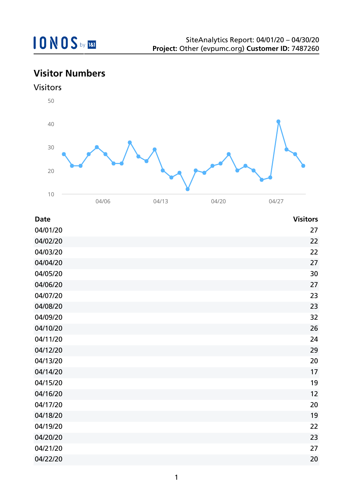## **Visitor Numbers**



| <b>Date</b> | <b>Visitors</b> |
|-------------|-----------------|
| 04/01/20    | 27              |
| 04/02/20    | 22              |
| 04/03/20    | 22              |
| 04/04/20    | 27              |
| 04/05/20    | 30              |
| 04/06/20    | 27              |
| 04/07/20    | 23              |
| 04/08/20    | 23              |
| 04/09/20    | 32              |
| 04/10/20    | 26              |
| 04/11/20    | 24              |
| 04/12/20    | 29              |
| 04/13/20    | 20              |
| 04/14/20    | 17              |
| 04/15/20    | 19              |
| 04/16/20    | 12              |
| 04/17/20    | 20              |
| 04/18/20    | 19              |
| 04/19/20    | 22              |
| 04/20/20    | 23              |
| 04/21/20    | 27              |
| 04/22/20    | 20              |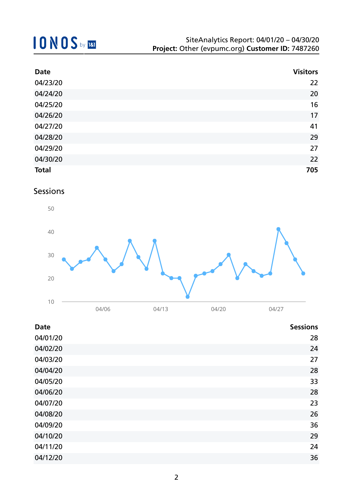| <b>Date</b>  | <b>Visitors</b> |
|--------------|-----------------|
| 04/23/20     | 22              |
| 04/24/20     | 20              |
| 04/25/20     | 16              |
| 04/26/20     | 17              |
| 04/27/20     | 41              |
| 04/28/20     | 29              |
| 04/29/20     | 27              |
| 04/30/20     | 22              |
| <b>Total</b> | 705             |

### Sessions



| <b>Date</b> | <b>Sessions</b> |
|-------------|-----------------|
| 04/01/20    | 28              |
| 04/02/20    | 24              |
| 04/03/20    | 27              |
| 04/04/20    | 28              |
| 04/05/20    | 33              |
| 04/06/20    | 28              |
| 04/07/20    | 23              |
| 04/08/20    | 26              |
| 04/09/20    | 36              |
| 04/10/20    | 29              |
| 04/11/20    | 24              |
| 04/12/20    | 36              |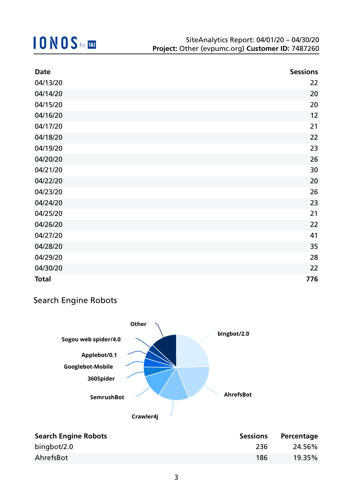| <b>Date</b>  | <b>Sessions</b> |
|--------------|-----------------|
| 04/13/20     | 22              |
| 04/14/20     | 20              |
| 04/15/20     | 20              |
| 04/16/20     | 12              |
| 04/17/20     | 21              |
| 04/18/20     | 22              |
| 04/19/20     | 23              |
| 04/20/20     | 26              |
| 04/21/20     | 30              |
| 04/22/20     | 20              |
| 04/23/20     | 26              |
| 04/24/20     | 23              |
| 04/25/20     | 21              |
| 04/26/20     | 22              |
| 04/27/20     | 41              |
| 04/28/20     | 35              |
| 04/29/20     | 28              |
| 04/30/20     | 22              |
| <b>Total</b> | 776             |

### Search Engine Robots



| <b>Search Engine Robots</b> | <b>Sessions</b> | Percentage |
|-----------------------------|-----------------|------------|
| bingbot/2.0                 | -236            | 24.56%     |
| AhrefsBot                   | 186             | 19.35%     |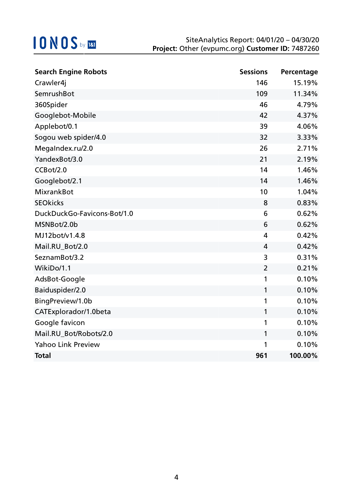| <b>Search Engine Robots</b> | <b>Sessions</b> | Percentage |
|-----------------------------|-----------------|------------|
| Crawler4j                   | 146             | 15.19%     |
| SemrushBot                  | 109             | 11.34%     |
| 360Spider                   | 46              | 4.79%      |
| Googlebot-Mobile            | 42              | 4.37%      |
| Applebot/0.1                | 39              | 4.06%      |
| Sogou web spider/4.0        | 32              | 3.33%      |
| MegaIndex.ru/2.0            | 26              | 2.71%      |
| YandexBot/3.0               | 21              | 2.19%      |
| CCBot/2.0                   | 14              | 1.46%      |
| Googlebot/2.1               | 14              | 1.46%      |
| <b>MixrankBot</b>           | 10              | 1.04%      |
| <b>SEOkicks</b>             | 8               | 0.83%      |
| DuckDuckGo-Favicons-Bot/1.0 | 6               | 0.62%      |
| MSNBot/2.0b                 | 6               | 0.62%      |
| MJ12bot/v1.4.8              | 4               | 0.42%      |
| Mail.RU_Bot/2.0             | 4               | 0.42%      |
| SeznamBot/3.2               | 3               | 0.31%      |
| WikiDo/1.1                  | $\overline{2}$  | 0.21%      |
| AdsBot-Google               | 1               | 0.10%      |
| Baiduspider/2.0             | 1               | 0.10%      |
| BingPreview/1.0b            | 1               | 0.10%      |
| CATExplorador/1.0beta       | 1               | 0.10%      |
| Google favicon              | 1               | 0.10%      |
| Mail.RU_Bot/Robots/2.0      | 1               | 0.10%      |
| <b>Yahoo Link Preview</b>   | 1               | 0.10%      |
| <b>Total</b>                | 961             | 100.00%    |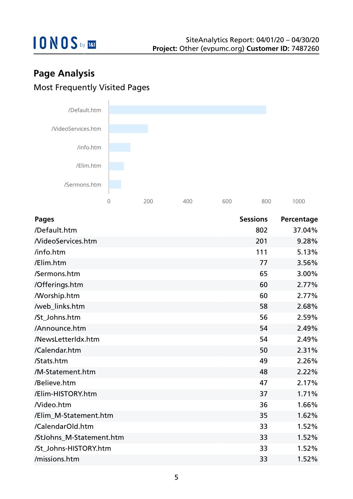

## **Page Analysis** Most Frequently Visited Pages



| <b>Pages</b>             | <b>Sessions</b> | Percentage |
|--------------------------|-----------------|------------|
| /Default.htm             | 802             | 37.04%     |
| <b>NideoServices.htm</b> | 201             | 9.28%      |
| /info.htm                | 111             | 5.13%      |
| /Elim.htm                | 77              | 3.56%      |
| /Sermons.htm             | 65              | 3.00%      |
| /Offerings.htm           | 60              | 2.77%      |
| <b>Morship.htm</b>       | 60              | 2.77%      |
| /web_links.htm           | 58              | 2.68%      |
| /St_Johns.htm            | 56              | 2.59%      |
| /Announce.htm            | 54              | 2.49%      |
| /NewsLetterIdx.htm       | 54              | 2.49%      |
| /Calendar.htm            | 50              | 2.31%      |
| /Stats.htm               | 49              | 2.26%      |
| /M-Statement.htm         | 48              | 2.22%      |
| /Believe.htm             | 47              | 2.17%      |
| /Elim-HISTORY.htm        | 37              | 1.71%      |
| Nideo.htm                | 36              | 1.66%      |
| /Elim_M-Statement.htm    | 35              | 1.62%      |
| /CalendarOld.htm         | 33              | 1.52%      |
| /StJohns_M-Statement.htm | 33              | 1.52%      |
| /St_Johns-HISTORY.htm    | 33              | 1.52%      |
| /missions.htm            | 33              | 1.52%      |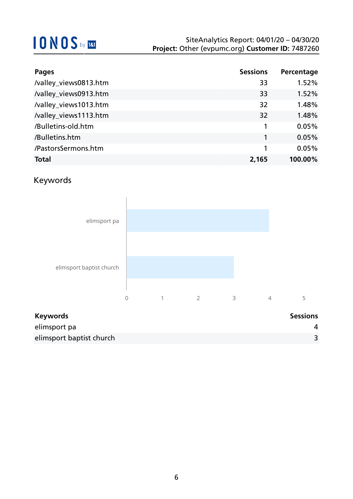| <b>Pages</b>          | <b>Sessions</b> | Percentage |
|-----------------------|-----------------|------------|
| /valley_views0813.htm | 33              | 1.52%      |
| /valley_views0913.htm | 33              | 1.52%      |
| /valley_views1013.htm | 32              | 1.48%      |
| /valley_views1113.htm | 32              | 1.48%      |
| /Bulletins-old.htm    |                 | 0.05%      |
| /Bulletins.htm        | 1               | 0.05%      |
| /PastorsSermons.htm   |                 | 0.05%      |
| <b>Total</b>          | 2,165           | 100.00%    |

### Keywords



| <b>Keywords</b>          | <b>Sessions</b> |
|--------------------------|-----------------|
| elimsport pa             |                 |
| elimsport baptist church |                 |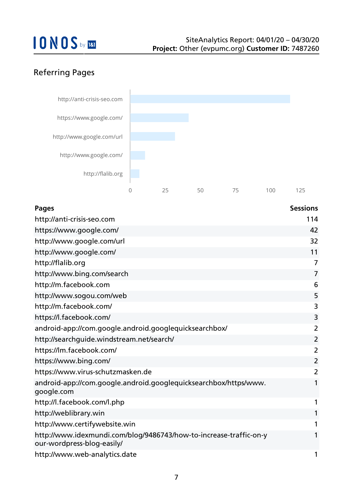### Referring Pages



| <b>Pages</b>                                                                                     | <b>Sessions</b> |
|--------------------------------------------------------------------------------------------------|-----------------|
| http://anti-crisis-seo.com                                                                       | 114             |
| https://www.google.com/                                                                          | 42              |
| http://www.google.com/url                                                                        | 32              |
| http://www.google.com/                                                                           | 11              |
| http://flalib.org                                                                                | 7               |
| http://www.bing.com/search                                                                       | $\overline{7}$  |
| http://m.facebook.com                                                                            | 6               |
| http://www.sogou.com/web                                                                         | 5               |
| http://m.facebook.com/                                                                           | 3               |
| https://l.facebook.com/                                                                          | 3               |
| android-app://com.google.android.googlequicksearchbox/                                           | $\overline{2}$  |
| http://searchguide.windstream.net/search/                                                        | $\overline{2}$  |
| https://lm.facebook.com/                                                                         | $\overline{2}$  |
| https://www.bing.com/                                                                            | $\overline{2}$  |
| https://www.virus-schutzmasken.de                                                                | 2               |
| android-app://com.google.android.googlequicksearchbox/https/www.<br>google.com                   |                 |
| http://l.facebook.com/l.php                                                                      | 1               |
| http://weblibrary.win                                                                            |                 |
| http://www.certifywebsite.win                                                                    |                 |
| http://www.idexmundi.com/blog/9486743/how-to-increase-traffic-on-y<br>our-wordpress-blog-easily/ |                 |
| http://www.web-analytics.date                                                                    | 1               |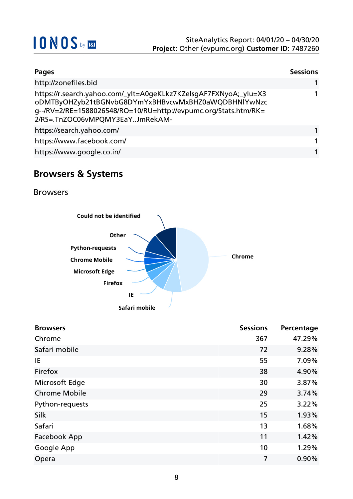

| Pages                                                                                                                                                                                                                         | <b>Sessions</b> |
|-------------------------------------------------------------------------------------------------------------------------------------------------------------------------------------------------------------------------------|-----------------|
| http://zonefiles.bid                                                                                                                                                                                                          |                 |
| https://r.search.yahoo.com/_ylt=A0geKLkz7KZelsgAF7FXNyoA;_ylu=X3<br>oDMTByOHZyb21tBGNvbG8DYmYxBHBvcwMxBHZ0aWQDBHNlYwNzc<br>g--/RV=2/RE=1588026548/RO=10/RU=http://evpumc.org/Stats.htm/RK=<br>2/RS=.TnZOC06vMPQMY3EaYJmRekAM- |                 |
| https://search.yahoo.com/                                                                                                                                                                                                     |                 |
| https://www.facebook.com/                                                                                                                                                                                                     | 1               |
| https://www.google.co.in/                                                                                                                                                                                                     |                 |

### **Browsers & Systems**

Browsers



| <b>Browsers</b>      | <b>Sessions</b> | Percentage |
|----------------------|-----------------|------------|
| Chrome               | 367             | 47.29%     |
| Safari mobile        | 72              | 9.28%      |
| IE                   | 55              | 7.09%      |
| Firefox              | 38              | 4.90%      |
| Microsoft Edge       | 30              | 3.87%      |
| <b>Chrome Mobile</b> | 29              | 3.74%      |
| Python-requests      | 25              | 3.22%      |
| Silk                 | 15              | 1.93%      |
| Safari               | 13              | 1.68%      |
| Facebook App         | 11              | 1.42%      |
| Google App           | 10              | 1.29%      |
| Opera                | 7               | 0.90%      |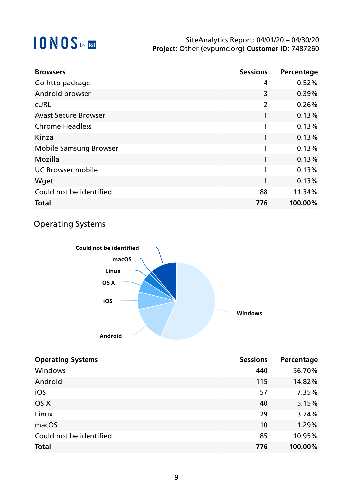| <b>Browsers</b>               | <b>Sessions</b> | Percentage |
|-------------------------------|-----------------|------------|
| Go http package               | 4               | 0.52%      |
| <b>Android browser</b>        | 3               | 0.39%      |
| <b>CURL</b>                   | $\overline{2}$  | 0.26%      |
| <b>Avast Secure Browser</b>   | 1               | 0.13%      |
| <b>Chrome Headless</b>        | 1               | 0.13%      |
| Kinza                         | 1               | 0.13%      |
| <b>Mobile Samsung Browser</b> | 1               | 0.13%      |
| Mozilla                       | 1               | 0.13%      |
| <b>UC Browser mobile</b>      | 1               | 0.13%      |
| Wget                          | 1               | 0.13%      |
| Could not be identified       | 88              | 11.34%     |
| <b>Total</b>                  | 776             | 100.00%    |

### Operating Systems



| <b>Operating Systems</b> | <b>Sessions</b> | Percentage |
|--------------------------|-----------------|------------|
| Windows                  | 440             | 56.70%     |
| Android                  | 115             | 14.82%     |
| iOS                      | 57              | 7.35%      |
| OS X                     | 40              | 5.15%      |
| Linux                    | 29              | 3.74%      |
| macOS                    | 10              | 1.29%      |
| Could not be identified  | 85              | 10.95%     |
| <b>Total</b>             | 776             | 100.00%    |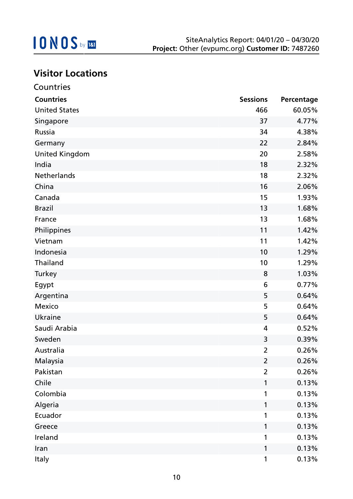

## **Visitor Locations**

| Countries             |                 |            |
|-----------------------|-----------------|------------|
| <b>Countries</b>      | <b>Sessions</b> | Percentage |
| <b>United States</b>  | 466             | 60.05%     |
| Singapore             | 37              | 4.77%      |
| Russia                | 34              | 4.38%      |
| Germany               | 22              | 2.84%      |
| <b>United Kingdom</b> | 20              | 2.58%      |
| India                 | 18              | 2.32%      |
| Netherlands           | 18              | 2.32%      |
| China                 | 16              | 2.06%      |
| Canada                | 15              | 1.93%      |
| <b>Brazil</b>         | 13              | 1.68%      |
| France                | 13              | 1.68%      |
| Philippines           | 11              | 1.42%      |
| Vietnam               | 11              | 1.42%      |
| Indonesia             | 10              | 1.29%      |
| Thailand              | 10              | 1.29%      |
| Turkey                | 8               | 1.03%      |
| Egypt                 | 6               | 0.77%      |
| Argentina             | 5               | 0.64%      |
| <b>Mexico</b>         | 5               | 0.64%      |
| <b>Ukraine</b>        | 5               | 0.64%      |
| Saudi Arabia          | 4               | 0.52%      |
| Sweden                | 3               | 0.39%      |
| Australia             | $\overline{2}$  | 0.26%      |
| Malaysia              | $\overline{2}$  | 0.26%      |
| Pakistan              | $\overline{2}$  | 0.26%      |
| Chile                 | 1               | 0.13%      |
| Colombia              | 1               | 0.13%      |
| Algeria               | 1               | 0.13%      |
| Ecuador               | 1               | 0.13%      |
| Greece                | 1               | 0.13%      |
| Ireland               | 1               | 0.13%      |
| Iran                  | 1               | 0.13%      |
| Italy                 | $\mathbf{1}$    | 0.13%      |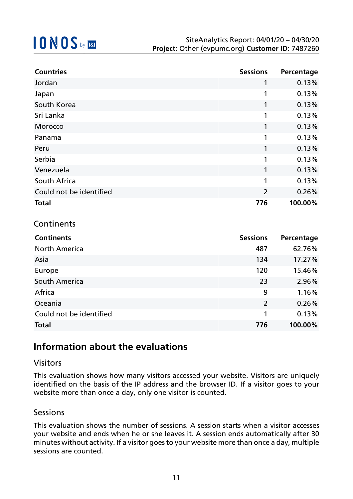| <b>Countries</b>        | <b>Sessions</b> | Percentage |
|-------------------------|-----------------|------------|
| Jordan                  | 1               | 0.13%      |
| Japan                   | 1               | 0.13%      |
| South Korea             | 1               | 0.13%      |
| Sri Lanka               | 1               | 0.13%      |
| Morocco                 | 1               | 0.13%      |
| Panama                  | 1               | 0.13%      |
| Peru                    | 1               | 0.13%      |
| Serbia                  | 1               | 0.13%      |
| Venezuela               | 1               | 0.13%      |
| South Africa            | 1               | 0.13%      |
| Could not be identified | $\overline{2}$  | 0.26%      |
| <b>Total</b>            | 776             | 100.00%    |

### **Continents**

| <b>Continents</b>       | <b>Sessions</b> | Percentage |
|-------------------------|-----------------|------------|
| <b>North America</b>    | 487             | 62.76%     |
| Asia                    | 134             | 17.27%     |
| Europe                  | 120             | 15.46%     |
| South America           | 23              | 2.96%      |
| Africa                  | 9               | 1.16%      |
| Oceania                 | $\overline{2}$  | 0.26%      |
| Could not be identified | 1               | 0.13%      |
| <b>Total</b>            | 776             | 100.00%    |

### **Information about the evaluations**

#### Visitors

This evaluation shows how many visitors accessed your website. Visitors are uniquely identified on the basis of the IP address and the browser ID. If a visitor goes to your website more than once a day, only one visitor is counted.

#### **Sessions**

This evaluation shows the number of sessions. A session starts when a visitor accesses your website and ends when he or she leaves it. A session ends automatically after 30 minutes without activity. If a visitor goes to your website more than once a day, multiple sessions are counted.